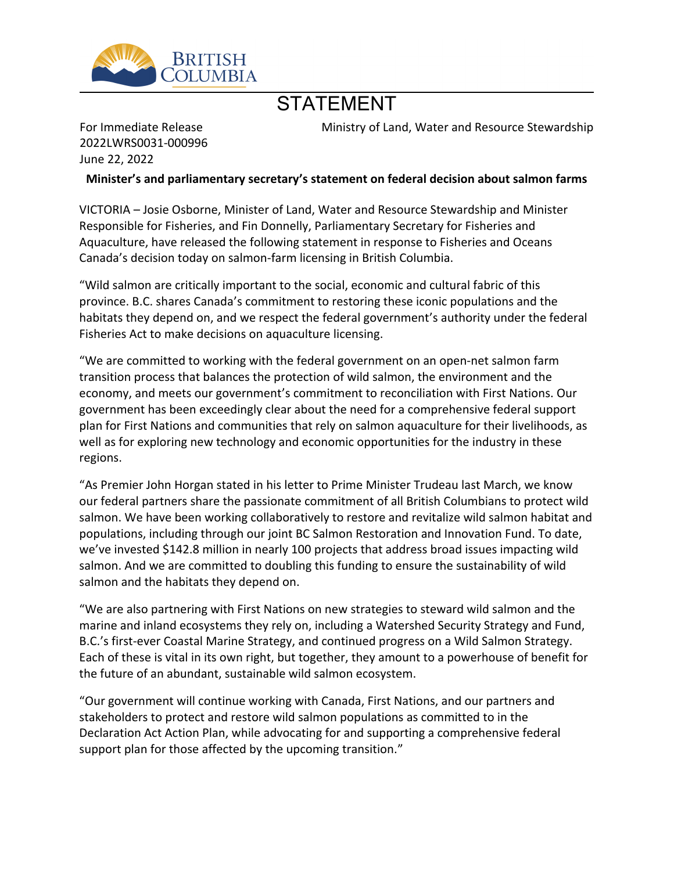

## STATEMENT

For Immediate Release 2022LWRS0031-000996 June 22, 2022

Ministry of Land, Water and Resource Stewardship

**Minister͛s and parliamentary secretary͛s statement on federal decision about salmon farms**

VICTORIA - Josie Osborne, Minister of Land, Water and Resource Stewardship and Minister Responsible for Fisheries, and Fin Donnelly, Parliamentary Secretary for Fisheries and Aquaculture, have released the following statement in response to Fisheries and Oceans Canada's decision today on salmon-farm licensing in British Columbia.

͞Wild salmon are critically important to the social, economic and cultural fabric of this province. B.C. shares Canada͛s commitment to restoring these iconic populations and the habitats they depend on, and we respect the federal government's authority under the federal Fisheries Act to make decisions on aquaculture licensing.

͞We are committed to working with the federal government on an open-net salmon farm transition process that balances the protection of wild salmon, the environment and the economy, and meets our government's commitment to reconciliation with First Nations. Our government has been exceedingly clear about the need for a comprehensive federal support plan for First Nations and communities that rely on salmon aquaculture for their livelihoods, as well as for exploring new technology and economic opportunities for the industry in these regions.

"As Premier John Horgan stated in his letter to Prime Minister Trudeau last March, we know our federal partners share the passionate commitment of all British Columbians to protect wild salmon. We have been working collaboratively to restore and revitalize wild salmon habitat and populations, including through our joint BC Salmon Restoration and Innovation Fund. To date, we've invested \$142.8 million in nearly 100 projects that address broad issues impacting wild salmon. And we are committed to doubling this funding to ensure the sustainability of wild salmon and the habitats they depend on.

͞We are also partnering with First Nations on new strategies to steward wild salmon and the marine and inland ecosystems they rely on, including a Watershed Security Strategy and Fund, B.C.'s first-ever Coastal Marine Strategy, and continued progress on a Wild Salmon Strategy. Each of these is vital in its own right, but together, they amount to a powerhouse of benefit for the future of an abundant, sustainable wild salmon ecosystem.

͞Our government will continue working with Canada, First Nations, and our partners and stakeholders to protect and restore wild salmon populations as committed to in the Declaration Act Action Plan, while advocating for and supporting a comprehensive federal support plan for those affected by the upcoming transition."